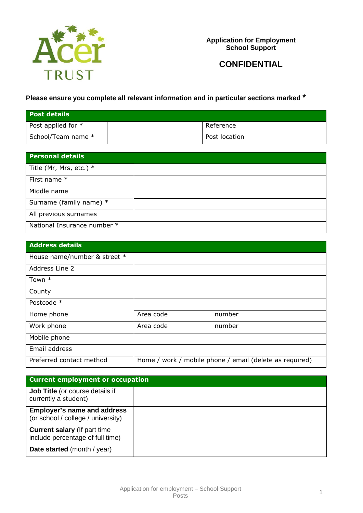

**Application for Employment School Support**

**CONFIDENTIAL**

# **Please ensure you complete all relevant information and in particular sections marked \***

| <b>Post details</b>  |               |  |
|----------------------|---------------|--|
| Post applied for $*$ | Reference     |  |
| School/Team name *   | Post location |  |

| <b>Personal details</b>     |  |
|-----------------------------|--|
| Title (Mr, Mrs, etc.) $*$   |  |
| First name *                |  |
| Middle name                 |  |
| Surname (family name) *     |  |
| All previous surnames       |  |
| National Insurance number * |  |

| <b>Address details</b>       |                                                         |        |
|------------------------------|---------------------------------------------------------|--------|
| House name/number & street * |                                                         |        |
| Address Line 2               |                                                         |        |
| Town *                       |                                                         |        |
| County                       |                                                         |        |
| Postcode *                   |                                                         |        |
| Home phone                   | Area code                                               | number |
| Work phone                   | Area code                                               | number |
| Mobile phone                 |                                                         |        |
| Email address                |                                                         |        |
| Preferred contact method     | Home / work / mobile phone / email (delete as required) |        |

| <b>Current employment or occupation</b>                                  |  |  |  |
|--------------------------------------------------------------------------|--|--|--|
| <b>Job Title</b> (or course details if<br>currently a student)           |  |  |  |
| <b>Employer's name and address</b><br>(or school / college / university) |  |  |  |
| <b>Current salary (If part time)</b><br>include percentage of full time) |  |  |  |
| Date started (month / year)                                              |  |  |  |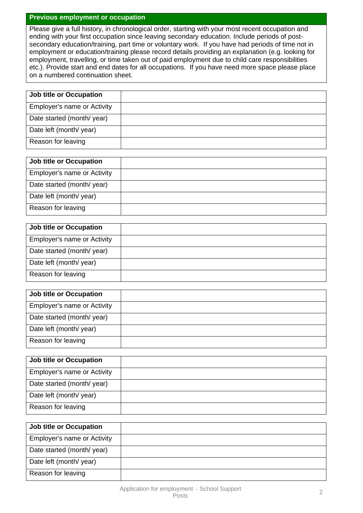## **Previous employment or occupation**

Please give a full history, in chronological order, starting with your most recent occupation and ending with your first occupation since leaving secondary education. Include periods of postsecondary education/training, part time or voluntary work. If you have had periods of time not in employment or education/training please record details providing an explanation (e.g. looking for employment, travelling, or time taken out of paid employment due to child care responsibilities etc.). Provide start and end dates for all occupations. If you have need more space please place on a numbered continuation sheet.

| <b>Job title or Occupation</b>     |  |
|------------------------------------|--|
| <b>Employer's name or Activity</b> |  |
| Date started (month/year)          |  |
| Date left (month/ year)            |  |
| Reason for leaving                 |  |

| <b>Job title or Occupation</b>     |  |
|------------------------------------|--|
| <b>Employer's name or Activity</b> |  |
| Date started (month/year)          |  |
| Date left (month/ year)            |  |
| Reason for leaving                 |  |

| <b>Job title or Occupation</b>     |
|------------------------------------|
| <b>Employer's name or Activity</b> |
| Date started (month/ year)         |
| Date left (month/ year)            |
| Reason for leaving                 |

| <b>Job title or Occupation</b>     |
|------------------------------------|
| <b>Employer's name or Activity</b> |
| Date started (month/year)          |
| Date left (month/ year)            |
| Reason for leaving                 |

| <b>Job title or Occupation</b>     |  |
|------------------------------------|--|
| <b>Employer's name or Activity</b> |  |
| Date started (month/year)          |  |
| Date left (month/ year)            |  |
| Reason for leaving                 |  |

| <b>Job title or Occupation</b>     |  |
|------------------------------------|--|
| <b>Employer's name or Activity</b> |  |
| Date started (month/year)          |  |
| Date left (month/year)             |  |
| Reason for leaving                 |  |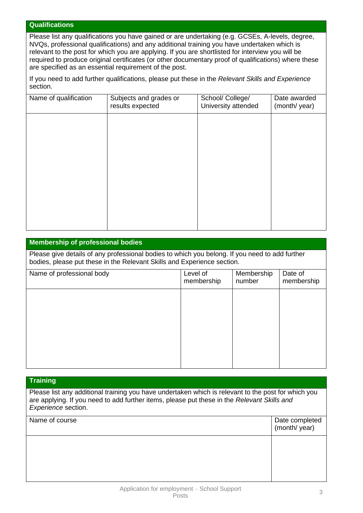## **Qualifications**

Please list any qualifications you have gained or are undertaking (e.g. GCSEs, A-levels, degree, NVQs, professional qualifications) and any additional training you have undertaken which is relevant to the post for which you are applying. If you are shortlisted for interview you will be required to produce original certificates (or other documentary proof of qualifications) where these are specified as an essential requirement of the post.

If you need to add further qualifications, please put these in the *Relevant Skills and Experience* section.

| Name of qualification | Subjects and grades or<br>results expected | School/ College/<br>University attended | Date awarded<br>(month/year) |
|-----------------------|--------------------------------------------|-----------------------------------------|------------------------------|
|                       |                                            |                                         |                              |
|                       |                                            |                                         |                              |
|                       |                                            |                                         |                              |
|                       |                                            |                                         |                              |
|                       |                                            |                                         |                              |
|                       |                                            |                                         |                              |
|                       |                                            |                                         |                              |

## **Membership of professional bodies**

Please give details of any professional bodies to which you belong. If you need to add further bodies, please put these in the Relevant Skills and Experience section.

| Name of professional body | Level of<br>membership | Membership<br>number | Date of<br>membership |
|---------------------------|------------------------|----------------------|-----------------------|
|                           |                        |                      |                       |
|                           |                        |                      |                       |
|                           |                        |                      |                       |
|                           |                        |                      |                       |

#### **Training**

Please list any additional training you have undertaken which is relevant to the post for which you are applying. If you need to add further items, please put these in the *Relevant Skills and Experience* section.

| Name of course | Date completed<br>(month/year) |
|----------------|--------------------------------|
|                |                                |
|                |                                |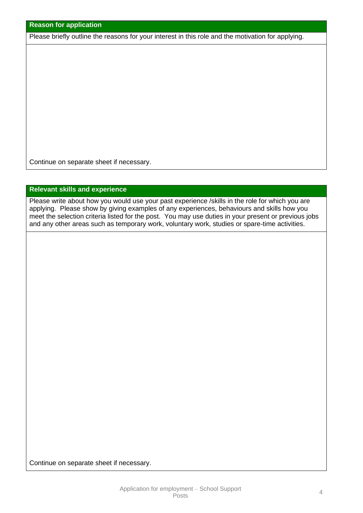| <b>Reason for application</b> |  |
|-------------------------------|--|

Please briefly outline the reasons for your interest in this role and the motivation for applying.

Continue on separate sheet if necessary.

## **Relevant skills and experience**

Please write about how you would use your past experience /skills in the role for which you are applying. Please show by giving examples of any experiences, behaviours and skills how you meet the selection criteria listed for the post. You may use duties in your present or previous jobs and any other areas such as temporary work, voluntary work, studies or spare-time activities.

Continue on separate sheet if necessary.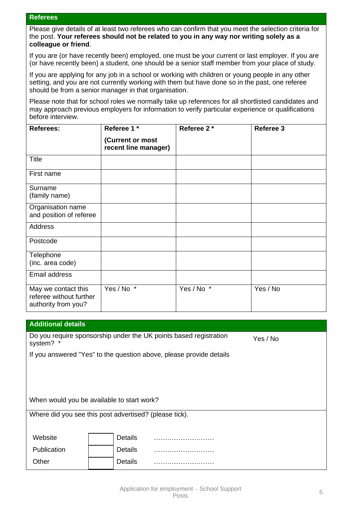## **Referees**

Please give details of at least two referees who can confirm that you meet the selection criteria for the post. **Your referees should not be related to you in any way nor writing solely as a colleague or friend**.

If you are (or have recently been) employed, one must be your current or last employer. If you are (or have recently been) a student, one should be a senior staff member from your place of study.

If you are applying for any job in a school or working with children or young people in any other setting, and you are not currently working with them but have done so in the past, one referee should be from a senior manager in that organisation.

Please note that for school roles we normally take up references for all shortlisted candidates and may approach previous employers for information to verify particular experience or qualifications before interview.

| <b>Referees:</b>                                                      | Referee 1 *                              | Referee 2* | Referee 3 |
|-----------------------------------------------------------------------|------------------------------------------|------------|-----------|
|                                                                       | (Current or most<br>recent line manager) |            |           |
| <b>Title</b>                                                          |                                          |            |           |
| First name                                                            |                                          |            |           |
| Surname<br>(family name)                                              |                                          |            |           |
| Organisation name<br>and position of referee                          |                                          |            |           |
| <b>Address</b>                                                        |                                          |            |           |
| Postcode                                                              |                                          |            |           |
| Telephone<br>(inc. area code)                                         |                                          |            |           |
| Email address                                                         |                                          |            |           |
| May we contact this<br>referee without further<br>authority from you? | Yes / No *                               | Yes / No * | Yes / No  |

| <b>Additional details</b>                                                                  |                |                                                                     |  |  |
|--------------------------------------------------------------------------------------------|----------------|---------------------------------------------------------------------|--|--|
| Do you require sponsorship under the UK points based registration<br>Yes / No<br>system? * |                |                                                                     |  |  |
|                                                                                            |                | If you answered "Yes" to the question above, please provide details |  |  |
|                                                                                            |                |                                                                     |  |  |
|                                                                                            |                |                                                                     |  |  |
|                                                                                            |                |                                                                     |  |  |
| When would you be available to start work?                                                 |                |                                                                     |  |  |
| Where did you see this post advertised? (please tick).                                     |                |                                                                     |  |  |
|                                                                                            |                |                                                                     |  |  |
| Website                                                                                    | <b>Details</b> | .                                                                   |  |  |
| Publication                                                                                | <b>Details</b> | .                                                                   |  |  |
| Other                                                                                      | <b>Details</b> |                                                                     |  |  |
|                                                                                            |                |                                                                     |  |  |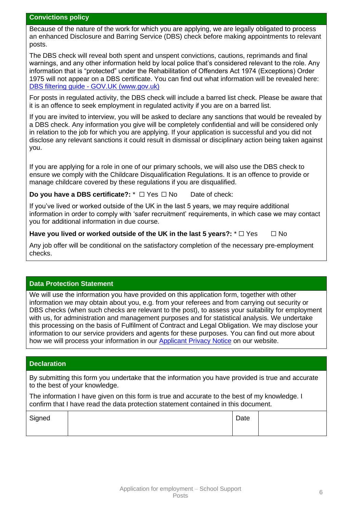## **Convictions policy**

Because of the nature of the work for which you are applying, we are legally obligated to process an enhanced Disclosure and Barring Service (DBS) check before making appointments to relevant posts.

The DBS check will reveal both spent and unspent convictions, cautions, reprimands and final warnings, and any other information held by local police that's considered relevant to the role. Any information that is "protected" under the Rehabilitation of Offenders Act 1974 (Exceptions) Order 1975 will not appear on a DBS certificate. You can find out what information will be revealed here: DBS filtering guide - GOV.UK [\(www.gov.uk\)](http://www.gov.uk/)

For posts in regulated activity, the DBS check will include a barred list check. Please be aware that it is an offence to seek employment in regulated activity if you are on a barred list.

If you are invited to interview, you will be asked to declare any sanctions that would be revealed by a DBS check. Any information you give will be completely confidential and will be considered only in relation to the job for which you are applying. If your application is successful and you did not disclose any relevant sanctions it could result in dismissal or disciplinary action being taken against you.

If you are applying for a role in one of our primary schools, we will also use the DBS check to ensure we comply with the Childcare Disqualification Regulations. It is an offence to provide or manage childcare covered by these regulations if you are disqualified.

## **Do you have a DBS certificate?:**  $*$  □ Yes □ No Date of check:

If you've lived or worked outside of the UK in the last 5 years, we may require additional information in order to comply with 'safer recruitment' requirements, in which case we may contact you for additional information in due course.

## **Have you lived or worked outside of the UK in the last 5 years?:**  $*$  □ Yes □ No

Any job offer will be conditional on the satisfactory completion of the necessary pre-employment checks.

## **Data Protection Statement**

We will use the information you have provided on this application form, together with other information we may obtain about you, e.g. from your referees and from carrying out security or DBS checks (when such checks are relevant to the post), to assess your suitability for employment with us, for administration and management purposes and for statistical analysis. We undertake this processing on the basis of Fulfilment of Contract and Legal Obligation. We may disclose your information to our service providers and agents for these purposes. You can find out more about how we will process your information in our [Applicant Privacy Notice](https://tinyurl.com/tz9p3jk) on our website.

## **Declaration**

By submitting this form you undertake that the information you have provided is true and accurate to the best of your knowledge.

The information I have given on this form is true and accurate to the best of my knowledge. I confirm that I have read the data protection statement contained in this document.

| Signed | Date |  |
|--------|------|--|
|        |      |  |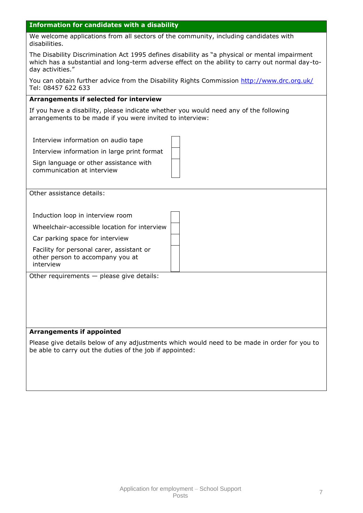#### **Information for candidates with a disability**

We welcome applications from all sectors of the community, including candidates with disabilities.

The Disability Discrimination Act 1995 defines disability as "a physical or mental impairment which has a substantial and long-term adverse effect on the ability to carry out normal day-today activities."

You can obtain further advice from the Disability Rights Commission http://www.drc.org.uk/ Tel: 08457 622 633

## **Arrangements if selected for interview**

If you have a disability, please indicate whether you would need any of the following arrangements to be made if you were invited to interview:

| Interview information on audio tape                                                        |  |
|--------------------------------------------------------------------------------------------|--|
| Interview information in large print format                                                |  |
| Sign language or other assistance with<br>communication at interview                       |  |
| Other assistance details:                                                                  |  |
| Induction loop in interview room                                                           |  |
| Wheelchair-accessible location for interview                                               |  |
| Car parking space for interview                                                            |  |
| Facility for personal carer, assistant or<br>other person to accompany you at<br>interview |  |
| Other requirements $-$ please give details:                                                |  |
|                                                                                            |  |
|                                                                                            |  |

#### **Arrangements if appointed**

Please give details below of any adjustments which would need to be made in order for you to be able to carry out the duties of the job if appointed: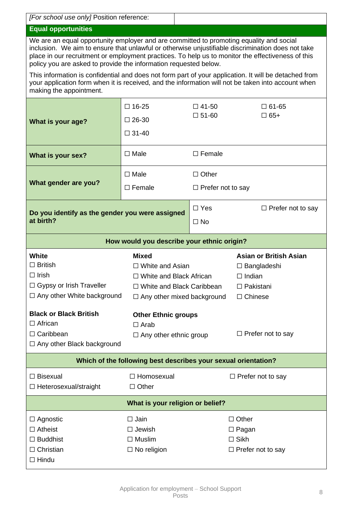| [For school use only] Position reference:                                                                                                                                                                                                                                                                                                                             |                                                                                                                                              |                          |                                                                                                            |  |  |  |
|-----------------------------------------------------------------------------------------------------------------------------------------------------------------------------------------------------------------------------------------------------------------------------------------------------------------------------------------------------------------------|----------------------------------------------------------------------------------------------------------------------------------------------|--------------------------|------------------------------------------------------------------------------------------------------------|--|--|--|
| <b>Equal opportunities</b>                                                                                                                                                                                                                                                                                                                                            |                                                                                                                                              |                          |                                                                                                            |  |  |  |
| We are an equal opportunity employer and are committed to promoting equality and social<br>inclusion. We aim to ensure that unlawful or otherwise unjustifiable discrimination does not take<br>place in our recruitment or employment practices. To help us to monitor the effectiveness of this<br>policy you are asked to provide the information requested below. |                                                                                                                                              |                          |                                                                                                            |  |  |  |
| This information is confidential and does not form part of your application. It will be detached from<br>your application form when it is received, and the information will not be taken into account when<br>making the appointment.                                                                                                                                |                                                                                                                                              |                          |                                                                                                            |  |  |  |
|                                                                                                                                                                                                                                                                                                                                                                       | $\square$ 16-25                                                                                                                              | $\Box$ 41-50             | $\Box$ 61-65                                                                                               |  |  |  |
| What is your age?                                                                                                                                                                                                                                                                                                                                                     | $\square$ 26-30                                                                                                                              | $\square$ 51-60          | $\Box$ 65+                                                                                                 |  |  |  |
|                                                                                                                                                                                                                                                                                                                                                                       | $\Box$ 31-40                                                                                                                                 |                          |                                                                                                            |  |  |  |
| What is your sex?                                                                                                                                                                                                                                                                                                                                                     | $\Box$ Male                                                                                                                                  | $\square$ Female         |                                                                                                            |  |  |  |
|                                                                                                                                                                                                                                                                                                                                                                       | $\Box$ Male                                                                                                                                  | $\Box$ Other             |                                                                                                            |  |  |  |
| What gender are you?                                                                                                                                                                                                                                                                                                                                                  | $\Box$ Female                                                                                                                                | $\Box$ Prefer not to say |                                                                                                            |  |  |  |
| Do you identify as the gender you were assigned                                                                                                                                                                                                                                                                                                                       |                                                                                                                                              | $\Box$ Yes               | $\Box$ Prefer not to say                                                                                   |  |  |  |
| at birth?                                                                                                                                                                                                                                                                                                                                                             |                                                                                                                                              | $\Box$ No                |                                                                                                            |  |  |  |
|                                                                                                                                                                                                                                                                                                                                                                       | How would you describe your ethnic origin?                                                                                                   |                          |                                                                                                            |  |  |  |
| <b>White</b><br>$\Box$ British<br>$\Box$ Irish<br>□ Gypsy or Irish Traveller<br>$\Box$ Any other White background                                                                                                                                                                                                                                                     | <b>Mixed</b><br>$\Box$ White and Asian<br>$\Box$ White and Black African<br>□ White and Black Caribbean<br>$\Box$ Any other mixed background |                          | <b>Asian or British Asian</b><br>$\Box$ Bangladeshi<br>$\Box$ Indian<br>$\Box$ Pakistani<br>$\Box$ Chinese |  |  |  |
| <b>Black or Black British</b>                                                                                                                                                                                                                                                                                                                                         | <b>Other Ethnic groups</b>                                                                                                                   |                          |                                                                                                            |  |  |  |
| $\Box$ African<br>$\Box$ Arab                                                                                                                                                                                                                                                                                                                                         |                                                                                                                                              |                          |                                                                                                            |  |  |  |
|                                                                                                                                                                                                                                                                                                                                                                       |                                                                                                                                              |                          |                                                                                                            |  |  |  |
| □ Caribbean                                                                                                                                                                                                                                                                                                                                                           | $\Box$ Any other ethnic group                                                                                                                |                          | $\Box$ Prefer not to say                                                                                   |  |  |  |
| $\Box$ Any other Black background                                                                                                                                                                                                                                                                                                                                     |                                                                                                                                              |                          |                                                                                                            |  |  |  |
|                                                                                                                                                                                                                                                                                                                                                                       | Which of the following best describes your sexual orientation?                                                                               |                          |                                                                                                            |  |  |  |
| $\Box$ Bisexual<br>$\Box$ Heterosexual/straight                                                                                                                                                                                                                                                                                                                       | □ Homosexual<br>$\Box$ Other                                                                                                                 |                          | $\Box$ Prefer not to say                                                                                   |  |  |  |
|                                                                                                                                                                                                                                                                                                                                                                       | What is your religion or belief?                                                                                                             |                          |                                                                                                            |  |  |  |
| $\Box$ Agnostic                                                                                                                                                                                                                                                                                                                                                       | $\square$ Jain                                                                                                                               |                          | $\Box$ Other                                                                                               |  |  |  |
| $\Box$ Atheist                                                                                                                                                                                                                                                                                                                                                        | $\Box$ Jewish                                                                                                                                |                          | $\Box$ Pagan                                                                                               |  |  |  |
| $\Box$ Buddhist                                                                                                                                                                                                                                                                                                                                                       | $\Box$ Muslim                                                                                                                                |                          | $\square$ Sikh                                                                                             |  |  |  |
| $\Box$ Christian<br>$\Box$ Hindu                                                                                                                                                                                                                                                                                                                                      | $\Box$ No religion                                                                                                                           |                          | $\Box$ Prefer not to say                                                                                   |  |  |  |

 $\mathbf{I}$